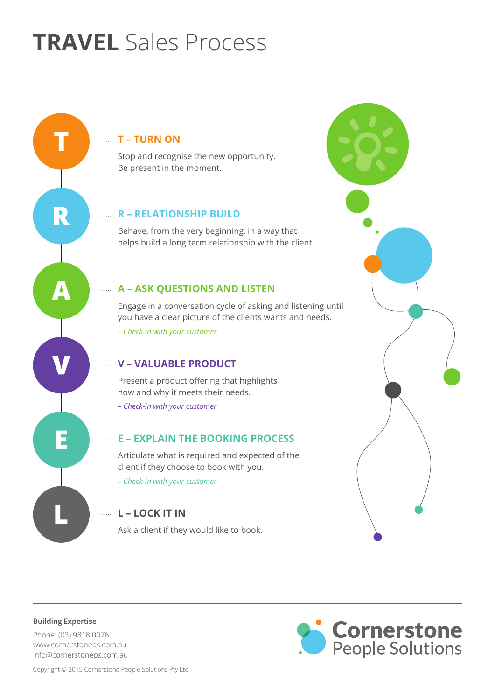# **T – TURN ON**

Stop and recognise the new opportunity. Be present in the moment.

## **R - RELATIONSHIP BUILD**

Behave, from the very beginning, in a way that helps build a long term relationship with the client.

## **A - ASK QUESTIONS AND LISTEN**

Engage in a conversation cycle of asking and listening until you have a clear picture of the clients wants and needs. – *Check-in with your customer*

## **V – VALUABLE PRODUCT**

Present a product offering that highlights how and why it meets their needs. *– Check-in with your customer*

## **E - EXPLAIN THE BOOKING PROCESS**

Articulate what is required and expected of the client if they choose to book with you. *– Check-in with your customer*

## **L – LOCK IT IN**

Ask a client if they would like to book.



**Building Expertise**

R

 $\boldsymbol{\Lambda}$ 

E

Phone: (03) 9818 0076 www.cornerstoneps.com.au info@cornerstoneps.com.au



Copyright © 2015 Cornerstone People Solutions Pty Ltd